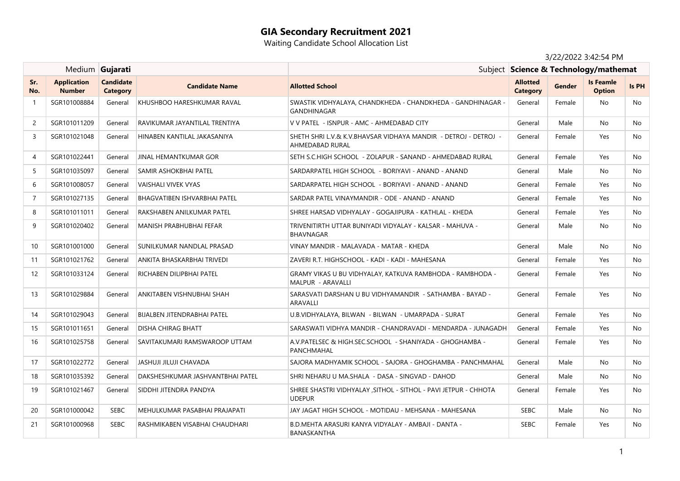# **GIA Secondary Recruitment 2021**

Waiting Candidate School Allocation List

## 3/22/2022 3:42:54 PM

|                |                                     | Medium Gujarati                     |                                     |                                                                                    | Subject Science & Technology/mathemat |               |                                   |       |
|----------------|-------------------------------------|-------------------------------------|-------------------------------------|------------------------------------------------------------------------------------|---------------------------------------|---------------|-----------------------------------|-------|
| Sr.<br>No.     | <b>Application</b><br><b>Number</b> | <b>Candidate</b><br><b>Category</b> | <b>Candidate Name</b>               | <b>Allotted School</b>                                                             | <b>Allotted</b><br><b>Category</b>    | <b>Gender</b> | <b>Is Feamle</b><br><b>Option</b> | Is PH |
| $\mathbf{1}$   | SGR101008884                        | General                             | KHUSHBOO HARESHKUMAR RAVAL          | SWASTIK VIDHYALAYA, CHANDKHEDA - CHANDKHEDA - GANDHINAGAR -<br><b>GANDHINAGAR</b>  | General                               | Female        | No                                | No.   |
| 2              | SGR101011209                        | General                             | RAVIKUMAR JAYANTILAL TRENTIYA       | V V PATEL - ISNPUR - AMC - AHMEDABAD CITY                                          | General                               | Male          | No.                               | No.   |
| $\overline{3}$ | SGR101021048                        | General                             | HINABEN KANTILAL JAKASANIYA         | SHETH SHRI L.V.& K.V.BHAVSAR VIDHAYA MANDIR - DETROJ - DETROJ -<br>AHMEDABAD RURAL | General                               | Female        | Yes                               | No.   |
| 4              | SGR101022441                        | General                             | JINAL HEMANTKUMAR GOR               | SETH S.C.HIGH SCHOOL - ZOLAPUR - SANAND - AHMEDABAD RURAL                          | General                               | Female        | Yes                               | No    |
| 5              | SGR101035097                        | General                             | SAMIR ASHOKBHAI PATEL               | SARDARPATEL HIGH SCHOOL - BORIYAVI - ANAND - ANAND                                 | General                               | Male          | No                                | No.   |
| 6              | SGR101008057                        | General                             | <b>VAISHALI VIVEK VYAS</b>          | SARDARPATEL HIGH SCHOOL - BORIYAVI - ANAND - ANAND                                 | General                               | Female        | Yes                               | No    |
| $\overline{7}$ | SGR101027135                        | General                             | <b>BHAGVATIBEN ISHVARBHAI PATEL</b> | SARDAR PATEL VINAYMANDIR - ODE - ANAND - ANAND                                     | General                               | Female        | Yes                               | No    |
| 8              | SGR101011011                        | General                             | RAKSHABEN ANILKUMAR PATEL           | SHREE HARSAD VIDHYALAY - GOGAJIPURA - KATHLAL - KHEDA                              | General                               | Female        | Yes                               | No    |
| 9              | SGR101020402                        | General                             | MANISH PRABHUBHAI FEFAR             | TRIVENITIRTH UTTAR BUNIYADI VIDYALAY - KALSAR - MAHUVA -<br>BHAVNAGAR              | General                               | Male          | No.                               | No.   |
| 10             | SGR101001000                        | General                             | SUNILKUMAR NANDLAL PRASAD           | VINAY MANDIR - MALAVADA - MATAR - KHEDA                                            | General                               | Male          | No                                | No    |
| 11             | SGR101021762                        | General                             | ANKITA BHASKARBHAI TRIVEDI          | ZAVERI R.T. HIGHSCHOOL - KADI - KADI - MAHESANA                                    | General                               | Female        | Yes                               | No    |
| 12             | SGR101033124                        | General                             | RICHABEN DILIPBHAI PATEL            | GRAMY VIKAS U BU VIDHYALAY, KATKUVA RAMBHODA - RAMBHODA -<br>MALPUR - ARAVALLI     | General                               | Female        | Yes                               | No.   |
| 13             | SGR101029884                        | General                             | ANKITABEN VISHNUBHAI SHAH           | SARASVATI DARSHAN U BU VIDHYAMANDIR - SATHAMBA - BAYAD -<br><b>ARAVALLI</b>        | General                               | Female        | Yes                               | No    |
| 14             | SGR101029043                        | General                             | BIJALBEN JITENDRABHAI PATEL         | U.B.VIDHYALAYA, BILWAN - BILWAN - UMARPADA - SURAT                                 | General                               | Female        | Yes                               | No.   |
| 15             | SGR101011651                        | General                             | DISHA CHIRAG BHATT                  | SARASWATI VIDHYA MANDIR - CHANDRAVADI - MENDARDA - JUNAGADH                        | General                               | Female        | Yes                               | No.   |
| 16             | SGR101025758                        | General                             | SAVITAKUMARI RAMSWAROOP UTTAM       | A.V. PATELSEC & HIGH.SEC.SCHOOL - SHANIYADA - GHOGHAMBA -<br>PANCHMAHAL            | General                               | Female        | Yes                               | No    |
| 17             | SGR101022772                        | General                             | JASHUJI JILUJI CHAVADA              | SAJORA MADHYAMIK SCHOOL - SAJORA - GHOGHAMBA - PANCHMAHAL                          | General                               | Male          | <b>No</b>                         | No    |
| 18             | SGR101035392                        | General                             | DAKSHESHKUMAR JASHVANTBHAI PATEL    | SHRI NEHARU U MA.SHALA - DASA - SINGVAD - DAHOD                                    | General                               | Male          | No                                | No    |
| 19             | SGR101021467                        | General                             | SIDDHI JITENDRA PANDYA              | SHREE SHASTRI VIDHYALAY , SITHOL - SITHOL - PAVI JETPUR - CHHOTA<br><b>UDEPUR</b>  | General                               | Female        | Yes                               | No.   |
| 20             | SGR101000042                        | <b>SEBC</b>                         | MEHULKUMAR PASABHAI PRAJAPATI       | JAY JAGAT HIGH SCHOOL - MOTIDAU - MEHSANA - MAHESANA                               | SEBC                                  | Male          | No                                | No.   |
| 21             | SGR101000968                        | <b>SEBC</b>                         | RASHMIKABEN VISABHAI CHAUDHARI      | B.D.MEHTA ARASURI KANYA VIDYALAY - AMBAJI - DANTA -<br>BANASKANTHA                 | <b>SEBC</b>                           | Female        | Yes                               | No.   |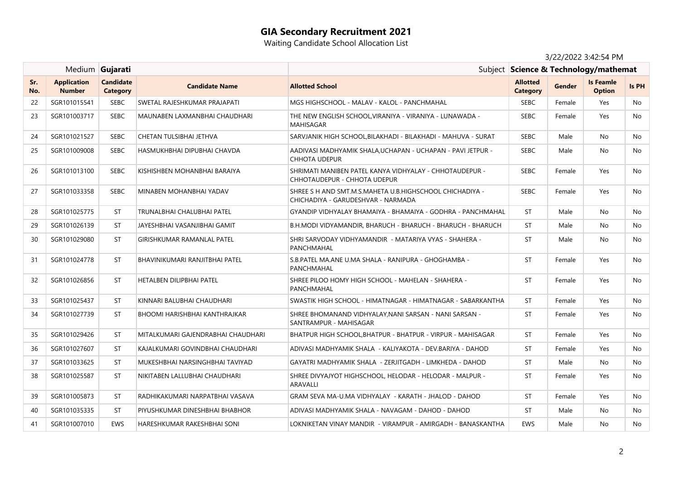# **GIA Secondary Recruitment 2021**

Waiting Candidate School Allocation List

## 3/22/2022 3:42:54 PM

|            |                                     | Medium Gujarati                     |                                    |                                                                                                | Subject Science & Technology/mathemat |        |                                   |       |
|------------|-------------------------------------|-------------------------------------|------------------------------------|------------------------------------------------------------------------------------------------|---------------------------------------|--------|-----------------------------------|-------|
| Sr.<br>No. | <b>Application</b><br><b>Number</b> | <b>Candidate</b><br><b>Category</b> | <b>Candidate Name</b>              | <b>Allotted School</b>                                                                         | <b>Allotted</b><br><b>Category</b>    | Gender | <b>Is Feamle</b><br><b>Option</b> | Is PH |
| 22         | SGR101015541                        | <b>SEBC</b>                         | SWETAL RAJESHKUMAR PRAJAPATI       | MGS HIGHSCHOOL - MALAV - KALOL - PANCHMAHAL                                                    | <b>SEBC</b>                           | Female | Yes                               | No    |
| 23         | SGR101003717                        | <b>SEBC</b>                         | MAUNABEN LAXMANBHAI CHAUDHARI      | THE NEW ENGLISH SCHOOL, VIRANIYA - VIRANIYA - LUNAWADA -<br><b>MAHISAGAR</b>                   | <b>SEBC</b>                           | Female | Yes                               | No    |
| 24         | SGR101021527                        | <b>SEBC</b>                         | CHETAN TULSIBHAI JETHVA            | SARVJANIK HIGH SCHOOL BILAKHADI - BILAKHADI - MAHUVA - SURAT                                   | <b>SEBC</b>                           | Male   | No.                               | No.   |
| 25         | SGR101009008                        | <b>SEBC</b>                         | HASMUKHBHAI DIPUBHAI CHAVDA        | AADIVASI MADHYAMIK SHALA,UCHAPAN - UCHAPAN - PAVI JETPUR -<br>CHHOTA UDEPUR                    | <b>SEBC</b>                           | Male   | No                                | No.   |
| 26         | SGR101013100                        | <b>SEBC</b>                         | KISHISHBEN MOHANBHAI BARAIYA       | SHRIMATI MANIBEN PATEL KANYA VIDHYALAY - CHHOTAUDEPUR -<br>CHHOTAUDEPUR - CHHOTA UDEPUR        | <b>SEBC</b>                           | Female | Yes                               | No    |
| 27         | SGR101033358                        | <b>SEBC</b>                         | MINABEN MOHANBHAI YADAV            | SHREE S H AND SMT.M.S.MAHETA U.B.HIGHSCHOOL CHICHADIYA -<br>CHICHADIYA - GARUDESHVAR - NARMADA | <b>SEBC</b>                           | Female | Yes                               | No.   |
| 28         | SGR101025775                        | <b>ST</b>                           | TRUNALBHAI CHALUBHAI PATEL         | GYANDIP VIDHYALAY BHAMAIYA - BHAMAIYA - GODHRA - PANCHMAHAL                                    | <b>ST</b>                             | Male   | No                                | No.   |
| 29         | SGR101026139                        | <b>ST</b>                           | JAYESHBHAI VASANJIBHAI GAMIT       | B.H.MODI VIDYAMANDIR, BHARUCH - BHARUCH - BHARUCH - BHARUCH                                    | ST                                    | Male   | No.                               | No    |
| 30         | SGR101029080                        | <b>ST</b>                           | GIRISHKUMAR RAMANLAL PATEL         | SHRI SARVODAY VIDHYAMANDIR - MATARIYA VYAS - SHAHERA -<br>PANCHMAHAL                           | <b>ST</b>                             | Male   | No                                | No    |
| 31         | SGR101024778                        | <b>ST</b>                           | BHAVINIKUMARI RANJITBHAI PATEL     | S.B.PATEL MA.ANE U.MA SHALA - RANIPURA - GHOGHAMBA -<br>PANCHMAHAL                             | <b>ST</b>                             | Female | Yes                               | No.   |
| 32         | SGR101026856                        | <b>ST</b>                           | <b>HETALBEN DILIPBHAI PATEL</b>    | SHREE PILOO HOMY HIGH SCHOOL - MAHELAN - SHAHERA -<br>PANCHMAHAL                               | <b>ST</b>                             | Female | Yes                               | No    |
| 33         | SGR101025437                        | <b>ST</b>                           | KINNARI BALUBHAI CHAUDHARI         | SWASTIK HIGH SCHOOL - HIMATNAGAR - HIMATNAGAR - SABARKANTHA                                    | <b>ST</b>                             | Female | Yes                               | No    |
| 34         | SGR101027739                        | <b>ST</b>                           | BHOOMI HARISHBHAI KANTHRAJKAR      | SHREE BHOMANAND VIDHYALAY,NANI SARSAN - NANI SARSAN -<br>SANTRAMPUR - MAHISAGAR                | <b>ST</b>                             | Female | Yes                               | No    |
| 35         | SGR101029426                        | <b>ST</b>                           | MITALKUMARI GAJENDRABHAI CHAUDHARI | BHATPUR HIGH SCHOOL, BHATPUR - BHATPUR - VIRPUR - MAHISAGAR                                    | <b>ST</b>                             | Female | Yes                               | No    |
| 36         | SGR101027607                        | <b>ST</b>                           | KAJALKUMARI GOVINDBHAI CHAUDHARI   | ADIVASI MADHYAMIK SHALA - KALIYAKOTA - DEV.BARIYA - DAHOD                                      | ST                                    | Female | Yes                               | No    |
| 37         | SGR101033625                        | <b>ST</b>                           | MUKESHBHAI NARSINGHBHAI TAVIYAD    | GAYATRI MADHYAMIK SHALA - ZERJITGADH - LIMKHEDA - DAHOD                                        | <b>ST</b>                             | Male   | No.                               | No    |
| 38         | SGR101025587                        | <b>ST</b>                           | NIKITABEN LALLUBHAI CHAUDHARI      | SHREE DIVYAJYOT HIGHSCHOOL, HELODAR - HELODAR - MALPUR -<br>ARAVALLI                           | <b>ST</b>                             | Female | Yes                               | No.   |
| 39         | SGR101005873                        | <b>ST</b>                           | RADHIKAKUMARI NARPATBHAI VASAVA    | GRAM SEVA MA-U.MA VIDHYALAY - KARATH - JHALOD - DAHOD                                          | ST                                    | Female | Yes                               | No    |
| 40         | SGR101035335                        | <b>ST</b>                           | PIYUSHKUMAR DINESHBHAI BHABHOR     | ADIVASI MADHYAMIK SHALA - NAVAGAM - DAHOD - DAHOD                                              | ST                                    | Male   | No.                               | No.   |
| 41         | SGR101007010                        | <b>EWS</b>                          | HARESHKUMAR RAKESHBHAI SONI        | LOKNIKETAN VINAY MANDIR - VIRAMPUR - AMIRGADH - BANASKANTHA                                    | EWS                                   | Male   | No.                               | No.   |